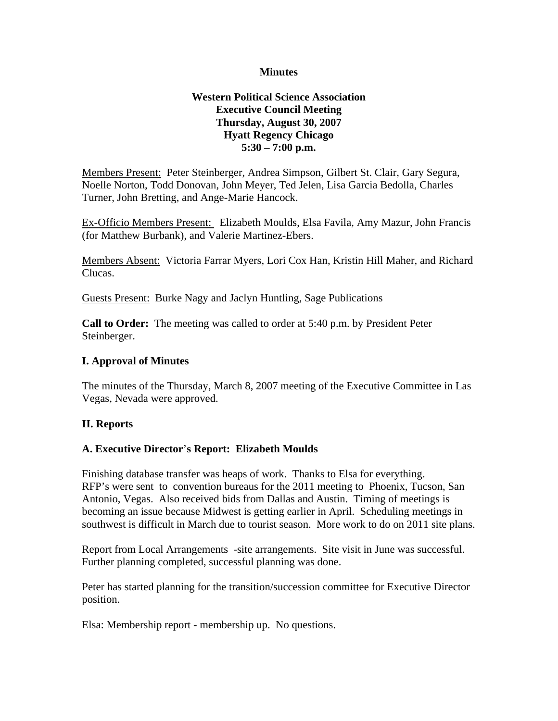#### **Minutes**

### **Western Political Science Association Executive Council Meeting Thursday, August 30, 2007 Hyatt Regency Chicago 5:30 – 7:00 p.m.**

Members Present: Peter Steinberger, Andrea Simpson, Gilbert St. Clair, Gary Segura, Noelle Norton, Todd Donovan, John Meyer, Ted Jelen, Lisa Garcia Bedolla, Charles Turner, John Bretting, and Ange-Marie Hancock.

Ex-Officio Members Present: Elizabeth Moulds, Elsa Favila, Amy Mazur, John Francis (for Matthew Burbank), and Valerie Martinez-Ebers.

Members Absent: Victoria Farrar Myers, Lori Cox Han, Kristin Hill Maher, and Richard Clucas.

Guests Present: Burke Nagy and Jaclyn Huntling, Sage Publications

**Call to Order:** The meeting was called to order at 5:40 p.m. by President Peter Steinberger.

### **I. Approval of Minutes**

The minutes of the Thursday, March 8, 2007 meeting of the Executive Committee in Las Vegas, Nevada were approved.

# **II. Reports**

#### **A. Executive Director**'**s Report: Elizabeth Moulds**

Finishing database transfer was heaps of work. Thanks to Elsa for everything. RFP's were sent to convention bureaus for the 2011 meeting to Phoenix, Tucson, San Antonio, Vegas. Also received bids from Dallas and Austin. Timing of meetings is becoming an issue because Midwest is getting earlier in April. Scheduling meetings in southwest is difficult in March due to tourist season. More work to do on 2011 site plans.

Report from Local Arrangements -site arrangements. Site visit in June was successful. Further planning completed, successful planning was done.

Peter has started planning for the transition/succession committee for Executive Director position.

Elsa: Membership report - membership up. No questions.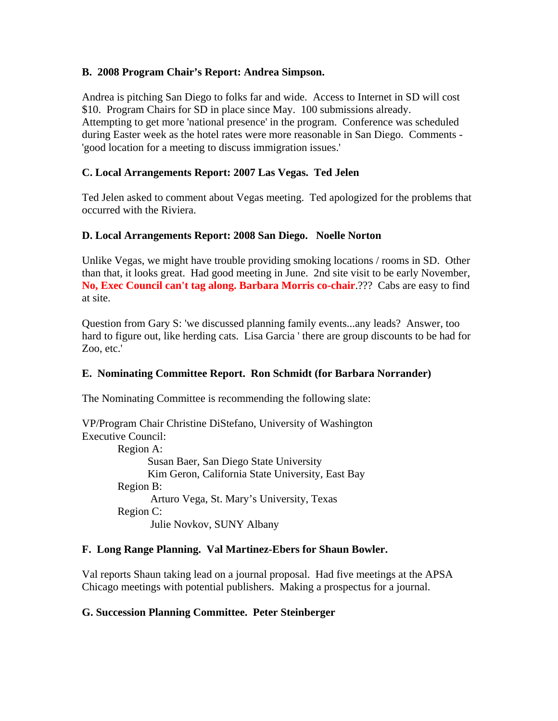### **B. 2008 Program Chair's Report: Andrea Simpson.**

Andrea is pitching San Diego to folks far and wide. Access to Internet in SD will cost \$10. Program Chairs for SD in place since May. 100 submissions already. Attempting to get more 'national presence' in the program. Conference was scheduled during Easter week as the hotel rates were more reasonable in San Diego. Comments - 'good location for a meeting to discuss immigration issues.'

### **C. Local Arrangements Report: 2007 Las Vegas. Ted Jelen**

Ted Jelen asked to comment about Vegas meeting. Ted apologized for the problems that occurred with the Riviera.

### **D. Local Arrangements Report: 2008 San Diego. Noelle Norton**

Unlike Vegas, we might have trouble providing smoking locations / rooms in SD. Other than that, it looks great. Had good meeting in June. 2nd site visit to be early November, **No, Exec Council can't tag along. Barbara Morris co-chair**.??? Cabs are easy to find at site.

Question from Gary S: 'we discussed planning family events...any leads? Answer, too hard to figure out, like herding cats. Lisa Garcia ' there are group discounts to be had for Zoo, etc.'

# **E. Nominating Committee Report. Ron Schmidt (for Barbara Norrander)**

The Nominating Committee is recommending the following slate:

VP/Program Chair Christine DiStefano, University of Washington Executive Council: Region A: Susan Baer, San Diego State University Kim Geron, California State University, East Bay Region B: Arturo Vega, St. Mary's University, Texas Region C: Julie Novkov, SUNY Albany

#### **F. Long Range Planning. Val Martinez-Ebers for Shaun Bowler.**

Val reports Shaun taking lead on a journal proposal. Had five meetings at the APSA Chicago meetings with potential publishers. Making a prospectus for a journal.

#### **G. Succession Planning Committee. Peter Steinberger**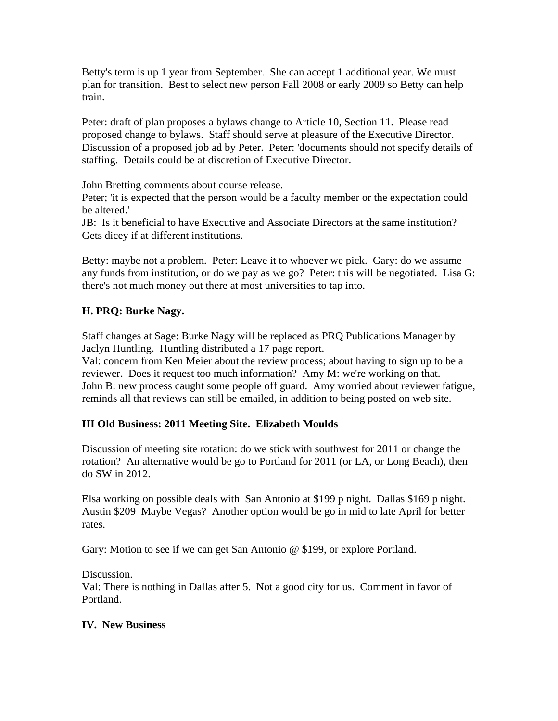Betty's term is up 1 year from September. She can accept 1 additional year. We must plan for transition. Best to select new person Fall 2008 or early 2009 so Betty can help train.

Peter: draft of plan proposes a bylaws change to Article 10, Section 11. Please read proposed change to bylaws. Staff should serve at pleasure of the Executive Director. Discussion of a proposed job ad by Peter. Peter: 'documents should not specify details of staffing. Details could be at discretion of Executive Director.

John Bretting comments about course release.

Peter; 'it is expected that the person would be a faculty member or the expectation could be altered.'

JB: Is it beneficial to have Executive and Associate Directors at the same institution? Gets dicey if at different institutions.

Betty: maybe not a problem. Peter: Leave it to whoever we pick. Gary: do we assume any funds from institution, or do we pay as we go? Peter: this will be negotiated. Lisa G: there's not much money out there at most universities to tap into.

# **H. PRQ: Burke Nagy.**

Staff changes at Sage: Burke Nagy will be replaced as PRQ Publications Manager by Jaclyn Huntling. Huntling distributed a 17 page report.

Val: concern from Ken Meier about the review process; about having to sign up to be a reviewer. Does it request too much information? Amy M: we're working on that. John B: new process caught some people off guard. Amy worried about reviewer fatigue, reminds all that reviews can still be emailed, in addition to being posted on web site.

# **III Old Business: 2011 Meeting Site. Elizabeth Moulds**

Discussion of meeting site rotation: do we stick with southwest for 2011 or change the rotation? An alternative would be go to Portland for 2011 (or LA, or Long Beach), then do SW in 2012.

Elsa working on possible deals with San Antonio at \$199 p night. Dallas \$169 p night. Austin \$209 Maybe Vegas? Another option would be go in mid to late April for better rates.

Gary: Motion to see if we can get San Antonio @ \$199, or explore Portland.

Discussion.

Val: There is nothing in Dallas after 5. Not a good city for us. Comment in favor of Portland.

# **IV. New Business**